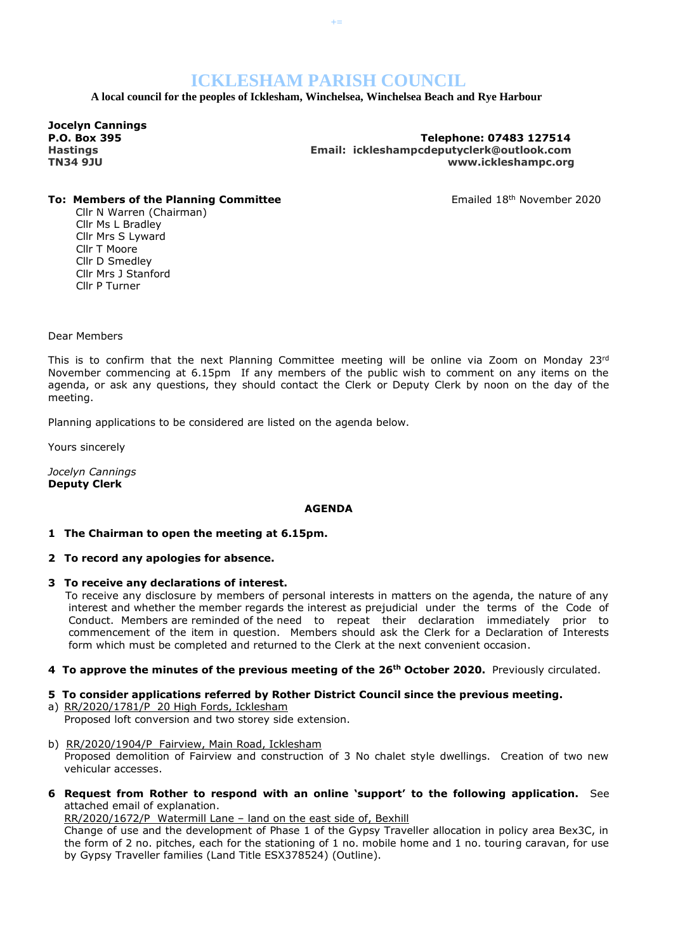# **ICKLESHAM PARISH COUNCIL**

**+=**

 **A local council for the peoples of Icklesham, Winchelsea, Winchelsea Beach and Rye Harbour**

**Jocelyn Cannings** 

**P.O. Box 395 Telephone: 07483 127514 Hastings Email: ickleshampcdeputyclerk@outlook.com TN34 9JU www.ickleshampc.org**

## **To: Members of the Planning Committee Emailed 18th November 2020**

Cllr N Warren (Chairman) Cllr Ms L Bradley Cllr Mrs S Lyward Cllr T Moore Cllr D Smedley Cllr Mrs J Stanford Cllr P Turner

Dear Members

This is to confirm that the next Planning Committee meeting will be online via Zoom on Monday  $23rd$ November commencing at 6.15pm If any members of the public wish to comment on any items on the agenda, or ask any questions, they should contact the Clerk or Deputy Clerk by noon on the day of the meeting.

Planning applications to be considered are listed on the agenda below.

Yours sincerely

*Jocelyn Cannings* **Deputy Clerk**

#### **AGENDA**

#### **1 The Chairman to open the meeting at 6.15pm.**

- **2 To record any apologies for absence.**
- **3 To receive any declarations of interest.**

To receive any disclosure by members of personal interests in matters on the agenda, the nature of any interest and whether the member regards the interest as prejudicial under the terms of the Code of Conduct. Members are reminded of the need to repeat their declaration immediately prior to commencement of the item in question. Members should ask the Clerk for a Declaration of Interests form which must be completed and returned to the Clerk at the next convenient occasion.

**4 To approve the minutes of the previous meeting of the 26th October 2020.** Previously circulated.

**5 To consider applications referred by Rother District Council since the previous meeting.**

a) RR/2020/1781/P 20 High Fords, Icklesham Proposed loft conversion and two storey side extension.

- b) RR/2020/1904/P Fairview, Main Road, Icklesham Proposed demolition of Fairview and construction of 3 No chalet style dwellings. Creation of two new vehicular accesses.
- **6 Request from Rother to respond with an online 'support' to the following application.** See attached email of explanation.

RR/2020/1672/P Watermill Lane – land on the east side of, Bexhill

Change of use and the development of Phase 1 of the Gypsy Traveller allocation in policy area Bex3C, in the form of 2 no. pitches, each for the stationing of 1 no. mobile home and 1 no. touring caravan, for use by Gypsy Traveller families (Land Title ESX378524) (Outline).